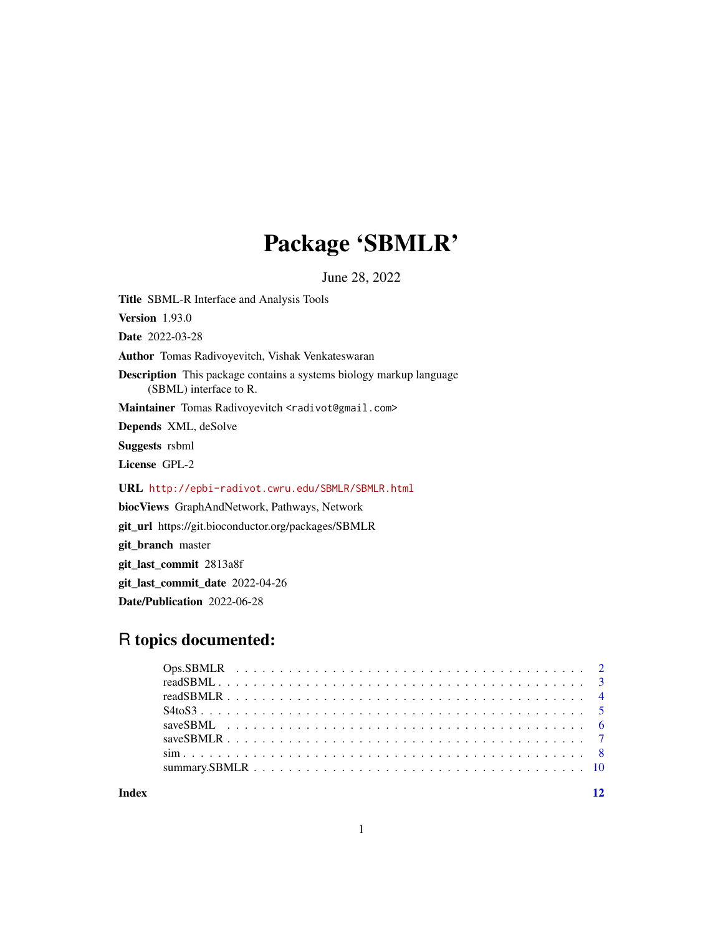## Package 'SBMLR'

June 28, 2022

Title SBML-R Interface and Analysis Tools

Version 1.93.0

Date 2022-03-28

Author Tomas Radivoyevitch, Vishak Venkateswaran

Description This package contains a systems biology markup language (SBML) interface to R.

Maintainer Tomas Radivoyevitch <radivot@gmail.com>

Depends XML, deSolve

Suggests rsbml

License GPL-2

URL <http://epbi-radivot.cwru.edu/SBMLR/SBMLR.html>

biocViews GraphAndNetwork, Pathways, Network

git\_url https://git.bioconductor.org/packages/SBMLR

git\_branch master

git\_last\_commit 2813a8f

git\_last\_commit\_date 2022-04-26

Date/Publication 2022-06-28

## R topics documented:

**Index** [12](#page-11-0)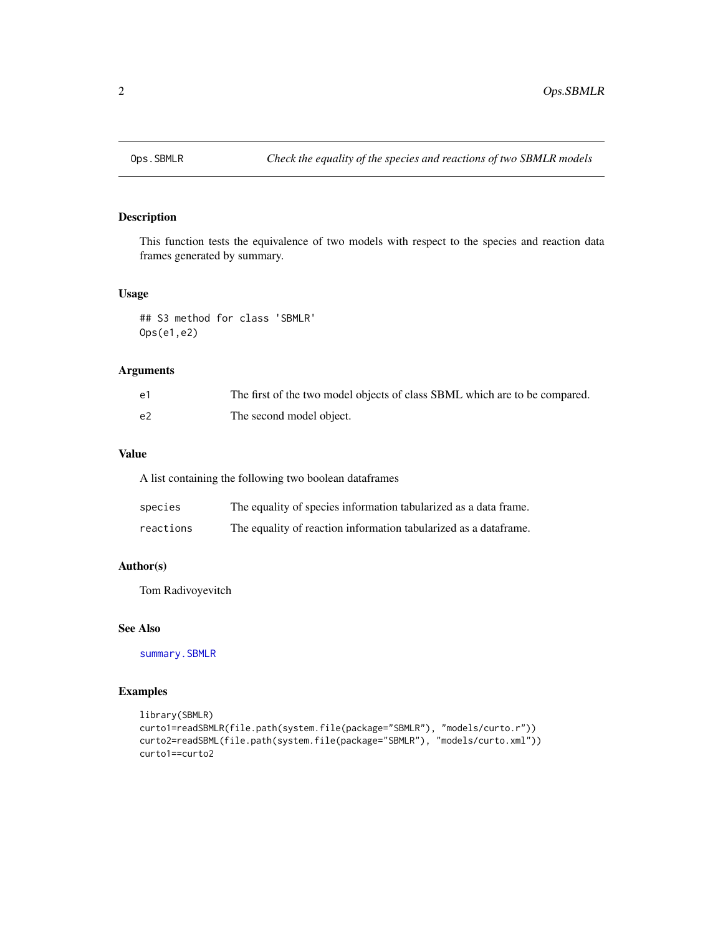<span id="page-1-0"></span>

This function tests the equivalence of two models with respect to the species and reaction data frames generated by summary.

#### Usage

## S3 method for class 'SBMLR' Ops(e1,e2)

#### Arguments

| $\epsilon$ 1 | The first of the two model objects of class SBML which are to be compared. |
|--------------|----------------------------------------------------------------------------|
| e2           | The second model object.                                                   |

#### Value

A list containing the following two boolean dataframes

| species   | The equality of species information tabularized as a data frame. |
|-----------|------------------------------------------------------------------|
| reactions | The equality of reaction information tabularized as a dataframe. |

#### Author(s)

Tom Radivoyevitch

#### See Also

[summary.SBMLR](#page-9-1)

```
library(SBMLR)
curto1=readSBMLR(file.path(system.file(package="SBMLR"), "models/curto.r"))
curto2=readSBML(file.path(system.file(package="SBMLR"), "models/curto.xml"))
curto1==curto2
```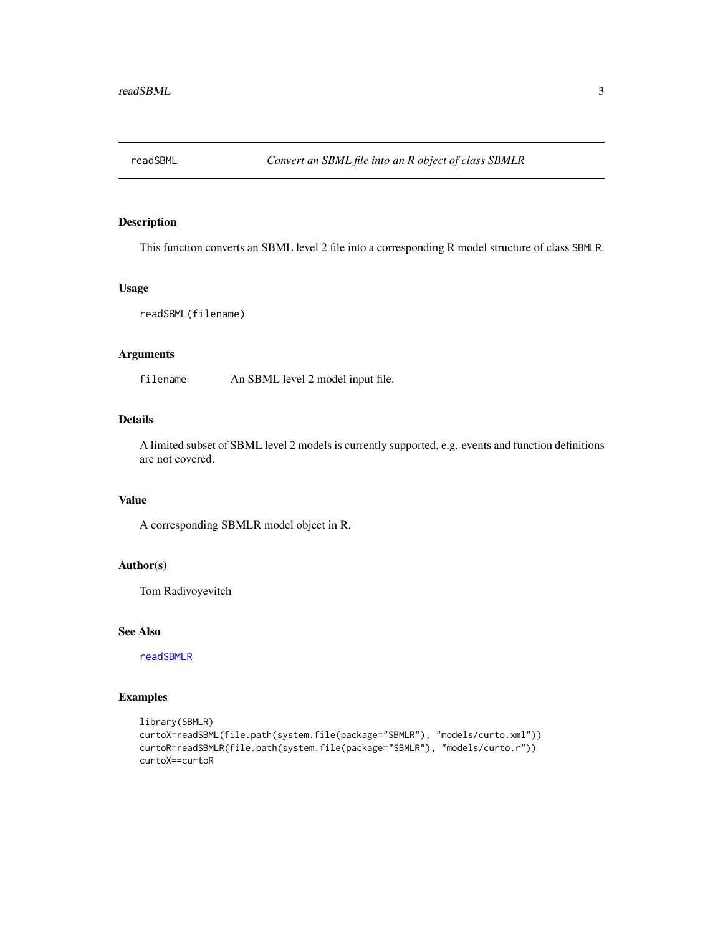<span id="page-2-1"></span><span id="page-2-0"></span>

This function converts an SBML level 2 file into a corresponding R model structure of class SBMLR.

#### Usage

readSBML(filename)

#### Arguments

filename An SBML level 2 model input file.

#### Details

A limited subset of SBML level 2 models is currently supported, e.g. events and function definitions are not covered.

## Value

A corresponding SBMLR model object in R.

#### Author(s)

Tom Radivoyevitch

#### See Also

[readSBMLR](#page-3-1)

```
library(SBMLR)
curtoX=readSBML(file.path(system.file(package="SBMLR"), "models/curto.xml"))
curtoR=readSBMLR(file.path(system.file(package="SBMLR"), "models/curto.r"))
curtoX==curtoR
```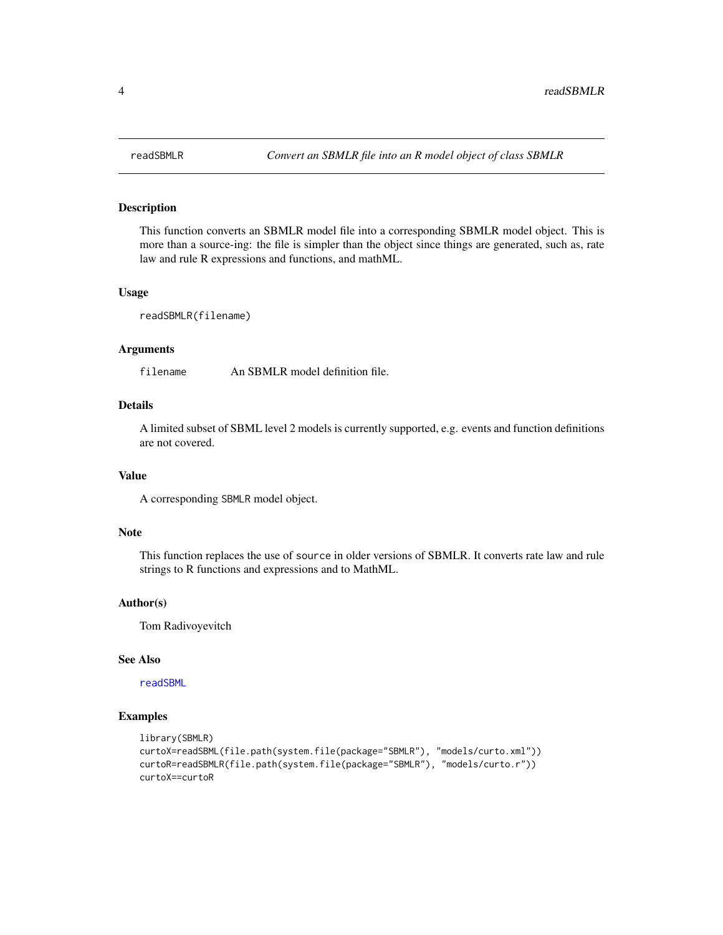This function converts an SBMLR model file into a corresponding SBMLR model object. This is more than a source-ing: the file is simpler than the object since things are generated, such as, rate law and rule R expressions and functions, and mathML.

#### Usage

readSBMLR(filename)

#### Arguments

filename An SBMLR model definition file.

#### Details

A limited subset of SBML level 2 models is currently supported, e.g. events and function definitions are not covered.

#### Value

A corresponding SBMLR model object.

#### Note

This function replaces the use of source in older versions of SBMLR. It converts rate law and rule strings to R functions and expressions and to MathML.

#### Author(s)

Tom Radivoyevitch

## See Also

[readSBML](#page-2-1)

```
library(SBMLR)
curtoX=readSBML(file.path(system.file(package="SBMLR"), "models/curto.xml"))
curtoR=readSBMLR(file.path(system.file(package="SBMLR"), "models/curto.r"))
curtoX==curtoR
```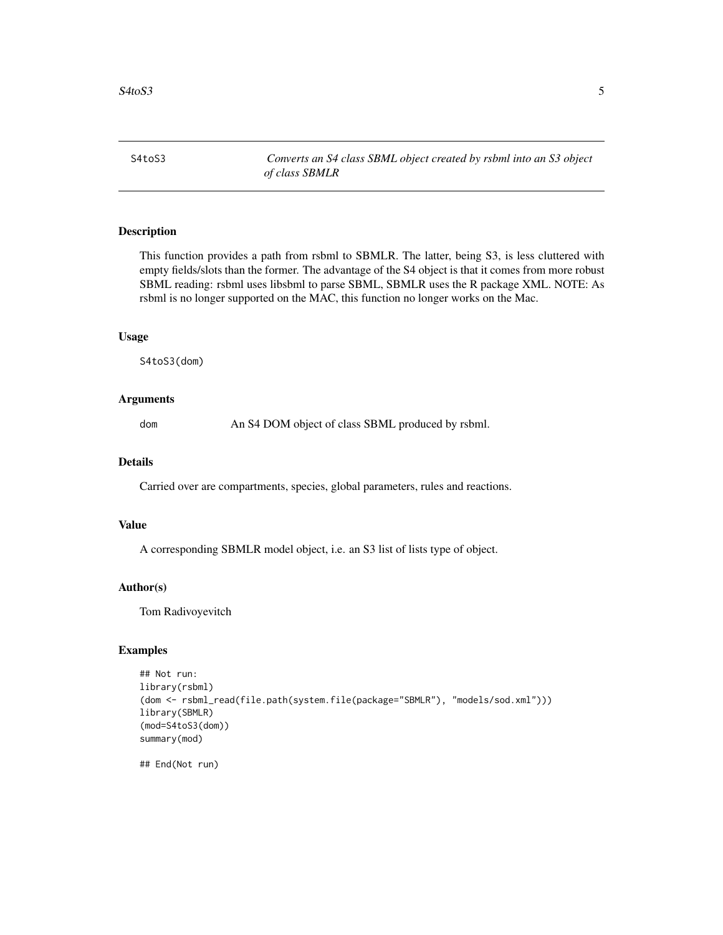<span id="page-4-0"></span>S4toS3 *Converts an S4 class SBML object created by rsbml into an S3 object of class SBMLR*

#### Description

This function provides a path from rsbml to SBMLR. The latter, being S3, is less cluttered with empty fields/slots than the former. The advantage of the S4 object is that it comes from more robust SBML reading: rsbml uses libsbml to parse SBML, SBMLR uses the R package XML. NOTE: As rsbml is no longer supported on the MAC, this function no longer works on the Mac.

#### Usage

S4toS3(dom)

#### Arguments

dom An S4 DOM object of class SBML produced by rsbml.

#### Details

Carried over are compartments, species, global parameters, rules and reactions.

#### Value

A corresponding SBMLR model object, i.e. an S3 list of lists type of object.

#### Author(s)

Tom Radivoyevitch

#### Examples

```
## Not run:
library(rsbml)
(dom <- rsbml_read(file.path(system.file(package="SBMLR"), "models/sod.xml")))
library(SBMLR)
(mod=S4toS3(dom))
summary(mod)
```
## End(Not run)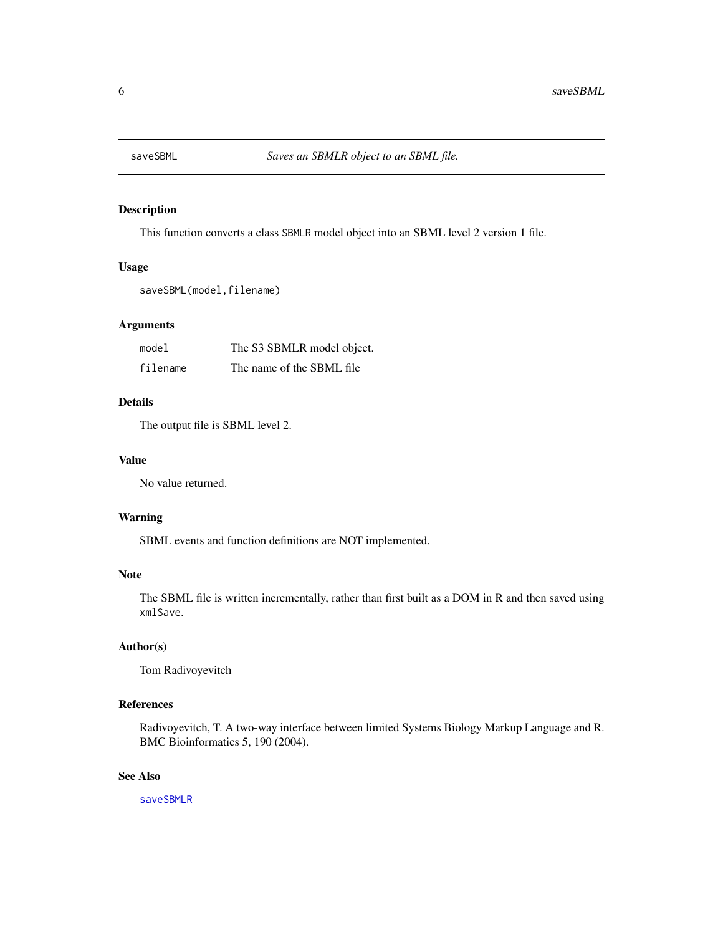<span id="page-5-1"></span><span id="page-5-0"></span>

This function converts a class SBMLR model object into an SBML level 2 version 1 file.

#### Usage

```
saveSBML(model,filename)
```
#### Arguments

| model    | The S3 SBMLR model object. |
|----------|----------------------------|
| filename | The name of the SBML file  |

#### Details

The output file is SBML level 2.

#### Value

No value returned.

#### Warning

SBML events and function definitions are NOT implemented.

#### Note

The SBML file is written incrementally, rather than first built as a DOM in R and then saved using xmlSave.

#### Author(s)

Tom Radivoyevitch

#### References

Radivoyevitch, T. A two-way interface between limited Systems Biology Markup Language and R. BMC Bioinformatics 5, 190 (2004).

#### See Also

[saveSBMLR](#page-6-1)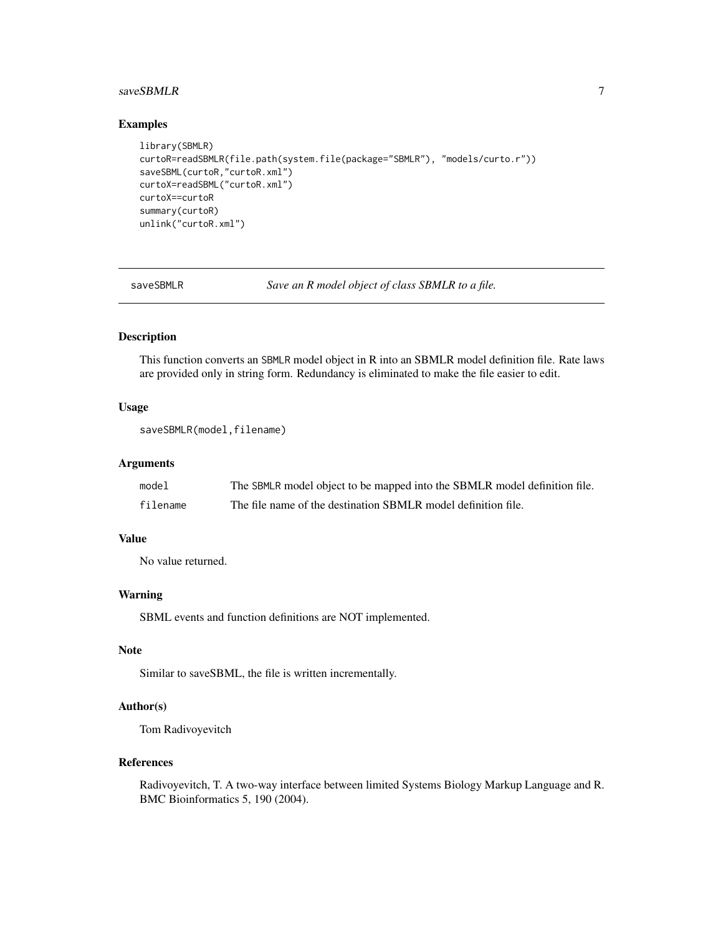#### <span id="page-6-0"></span>saveSBMLR 7

#### Examples

```
library(SBMLR)
curtoR=readSBMLR(file.path(system.file(package="SBMLR"), "models/curto.r"))
saveSBML(curtoR,"curtoR.xml")
curtoX=readSBML("curtoR.xml")
curtoX==curtoR
summary(curtoR)
unlink("curtoR.xml")
```
<span id="page-6-1"></span>saveSBMLR *Save an R model object of class SBMLR to a file.*

#### Description

This function converts an SBMLR model object in R into an SBMLR model definition file. Rate laws are provided only in string form. Redundancy is eliminated to make the file easier to edit.

#### Usage

```
saveSBMLR(model,filename)
```
#### Arguments

| model    | The SBMLR model object to be mapped into the SBMLR model definition file. |
|----------|---------------------------------------------------------------------------|
| filename | The file name of the destination SBMLR model definition file.             |

#### Value

No value returned.

#### Warning

SBML events and function definitions are NOT implemented.

#### Note

Similar to saveSBML, the file is written incrementally.

#### Author(s)

Tom Radivoyevitch

#### References

Radivoyevitch, T. A two-way interface between limited Systems Biology Markup Language and R. BMC Bioinformatics 5, 190 (2004).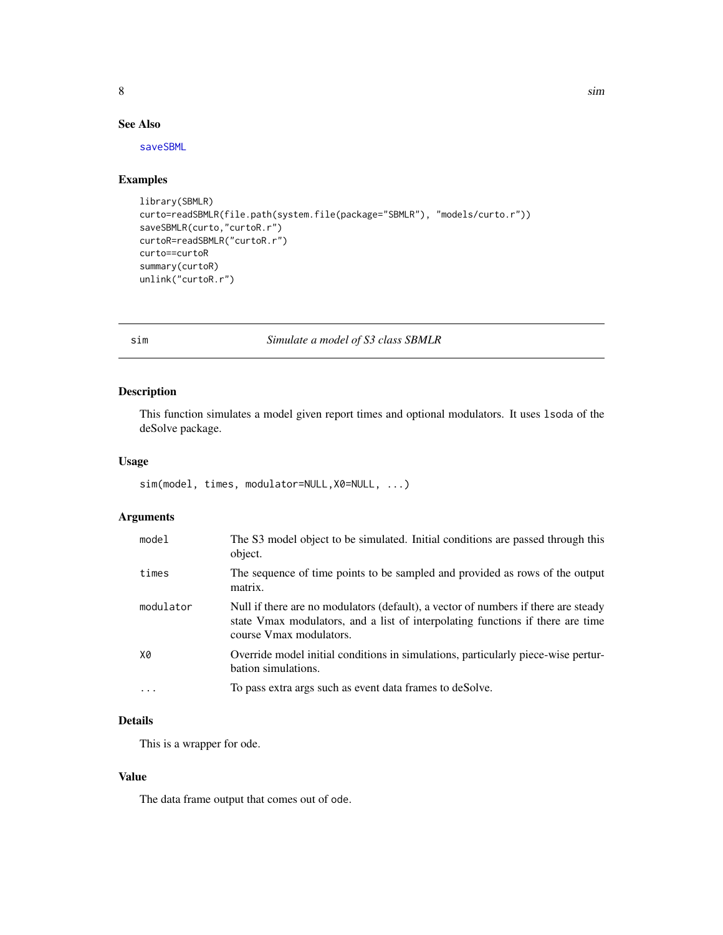<span id="page-7-0"></span>

#### See Also

[saveSBML](#page-5-1)

## Examples

```
library(SBMLR)
curto=readSBMLR(file.path(system.file(package="SBMLR"), "models/curto.r"))
saveSBMLR(curto,"curtoR.r")
curtoR=readSBMLR("curtoR.r")
curto==curtoR
summary(curtoR)
unlink("curtoR.r")
```
sim *Simulate a model of S3 class SBMLR*

#### Description

This function simulates a model given report times and optional modulators. It uses lsoda of the deSolve package.

#### Usage

```
sim(model, times, modulator=NULL,X0=NULL, ...)
```
#### Arguments

| model     | The S3 model object to be simulated. Initial conditions are passed through this<br>object.                                                                                                      |
|-----------|-------------------------------------------------------------------------------------------------------------------------------------------------------------------------------------------------|
| times     | The sequence of time points to be sampled and provided as rows of the output<br>matrix.                                                                                                         |
| modulator | Null if there are no modulators (default), a vector of numbers if there are steady<br>state Vmax modulators, and a list of interpolating functions if there are time<br>course Vmax modulators. |
| X0        | Override model initial conditions in simulations, particularly piece-wise pertur-<br>bation simulations.                                                                                        |
| .         | To pass extra args such as event data frames to deSolve.                                                                                                                                        |

#### Details

This is a wrapper for ode.

#### Value

The data frame output that comes out of ode.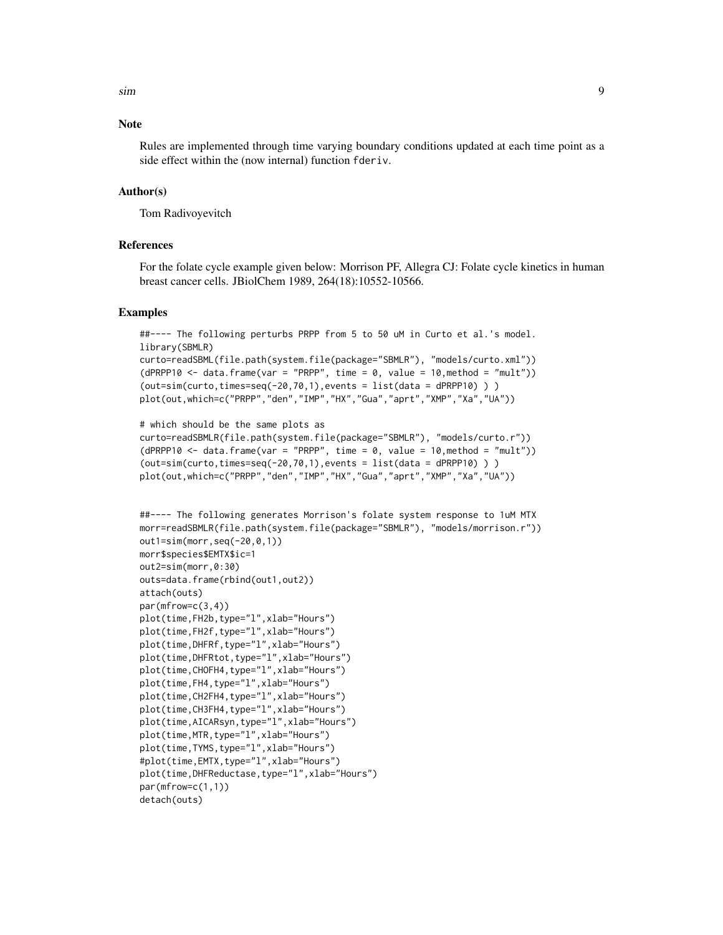sim 9

#### **Note**

Rules are implemented through time varying boundary conditions updated at each time point as a side effect within the (now internal) function fderiv.

#### Author(s)

Tom Radivoyevitch

#### References

For the folate cycle example given below: Morrison PF, Allegra CJ: Folate cycle kinetics in human breast cancer cells. JBiolChem 1989, 264(18):10552-10566.

```
##---- The following perturbs PRPP from 5 to 50 uM in Curto et al.'s model.
library(SBMLR)
curto=readSBML(file.path(system.file(package="SBMLR"), "models/curto.xml"))
(dPRPP10 \leq data . frame(var = "PRPP", time = 0, value = 10, method = "mult"))(out=sim(curto, times=seq(-20,70,1)), events = list(data = dPRPP10) ))
plot(out,which=c("PRPP","den","IMP","HX","Gua","aprt","XMP","Xa","UA"))
```

```
# which should be the same plots as
curto=readSBMLR(file.path(system.file(package="SBMLR"), "models/curto.r"))
(dPRPP10 \le - data.frame(var = "PRPP", time = 0, value = 10, method = "mult"))
(out=sim(curto, times=seq(-20,70,1)), events = list(data = dPRPP10) ) )
plot(out,which=c("PRPP","den","IMP","HX","Gua","aprt","XMP","Xa","UA"))
```

```
##---- The following generates Morrison's folate system response to 1uM MTX
morr=readSBMLR(file.path(system.file(package="SBMLR"), "models/morrison.r"))
out1=sim(morr,seq(-20,0,1))
morr$species$EMTX$ic=1
out2=sim(morr,0:30)
outs=data.frame(rbind(out1,out2))
attach(outs)
par(mfrow=c(3,4))
plot(time,FH2b,type="l",xlab="Hours")
plot(time,FH2f,type="l",xlab="Hours")
plot(time,DHFRf,type="l",xlab="Hours")
plot(time,DHFRtot,type="l",xlab="Hours")
plot(time, CHOFH4, type="l", xlab="Hours")
plot(time,FH4,type="l",xlab="Hours")
plot(time, CH2FH4, type="l", xlab="Hours")
plot(time, CH3FH4, type="l", xlab="Hours")
plot(time,AICARsyn,type="l",xlab="Hours")
plot(time,MTR,type="l",xlab="Hours")
plot(time, TYMS, type="l", xlab="Hours")
#plot(time,EMTX,type="l",xlab="Hours")
plot(time,DHFReductase,type="l",xlab="Hours")
par(mfrow=c(1,1))
detach(outs)
```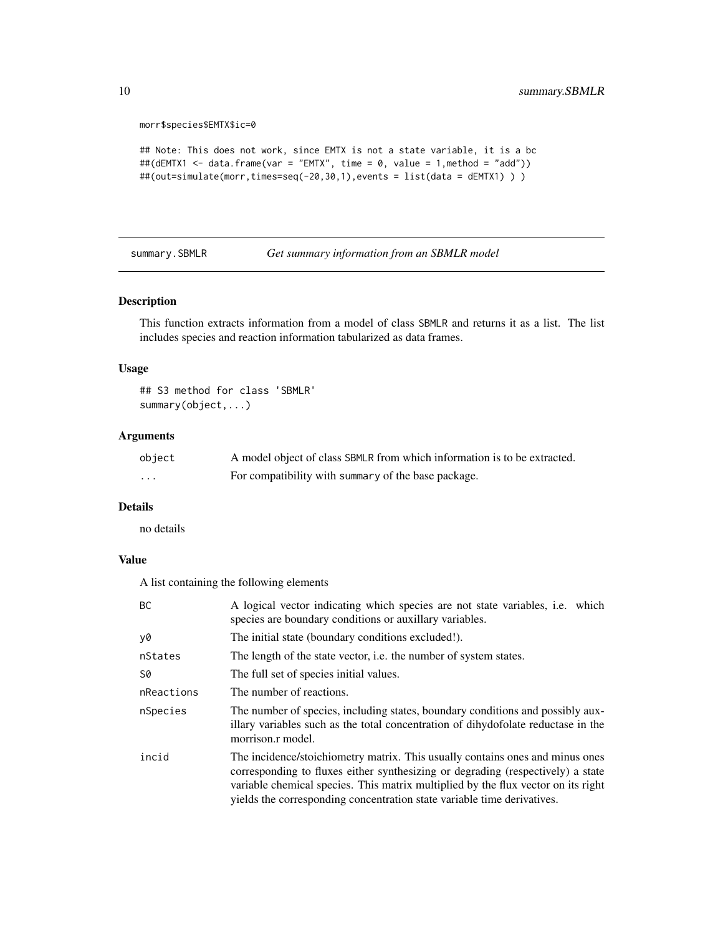morr\$species\$EMTX\$ic=0

```
## Note: This does not work, since EMTX is not a state variable, it is a bc
##(dEMTX1 <- data.frame(var = "EMTX", time = 0, value = 1,method = "add"))
##(out=simulate(morr,times=seq(-20,30,1),events = list(data = dEMTX1) ) )
```
<span id="page-9-1"></span>summary.SBMLR *Get summary information from an SBMLR model*

#### Description

This function extracts information from a model of class SBMLR and returns it as a list. The list includes species and reaction information tabularized as data frames.

#### Usage

## S3 method for class 'SBMLR' summary(object,...)

#### Arguments

| object | A model object of class SBMLR from which information is to be extracted. |
|--------|--------------------------------------------------------------------------|
| .      | For compatibility with summary of the base package.                      |

#### Details

no details

#### Value

A list containing the following elements

| <b>BC</b>  | A logical vector indicating which species are not state variables, i.e. which<br>species are boundary conditions or auxillary variables.                                                                                                                                                                                         |
|------------|----------------------------------------------------------------------------------------------------------------------------------------------------------------------------------------------------------------------------------------------------------------------------------------------------------------------------------|
| y0         | The initial state (boundary conditions excluded!).                                                                                                                                                                                                                                                                               |
| nStates    | The length of the state vector, <i>i.e.</i> the number of system states.                                                                                                                                                                                                                                                         |
| S0         | The full set of species initial values.                                                                                                                                                                                                                                                                                          |
| nReactions | The number of reactions.                                                                                                                                                                                                                                                                                                         |
| nSpecies   | The number of species, including states, boundary conditions and possibly aux-<br>illary variables such as the total concentration of dihydofolate reductase in the<br>morrison.r model.                                                                                                                                         |
| incid      | The incidence/stoichiometry matrix. This usually contains ones and minus ones<br>corresponding to fluxes either synthesizing or degrading (respectively) a state<br>variable chemical species. This matrix multiplied by the flux vector on its right<br>yields the corresponding concentration state variable time derivatives. |

<span id="page-9-0"></span>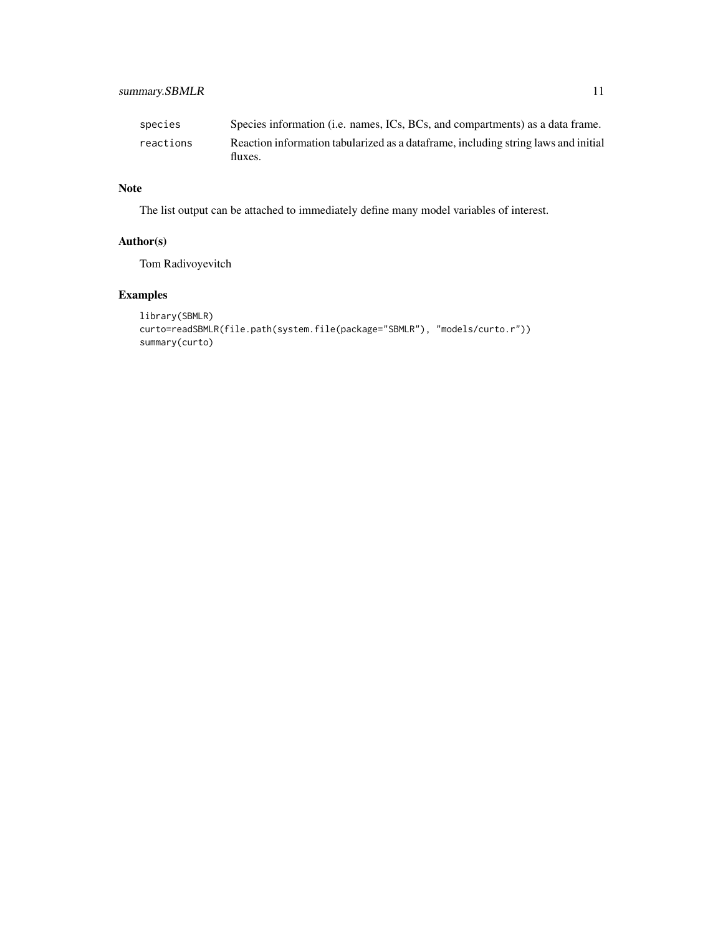## summary.SBMLR 11

| species   | Species information (i.e. names, ICs, BCs, and compartments) as a data frame.                 |
|-----------|-----------------------------------------------------------------------------------------------|
| reactions | Reaction information tabularized as a dataframe, including string laws and initial<br>fluxes. |

## Note

The list output can be attached to immediately define many model variables of interest.

## Author(s)

Tom Radivoyevitch

```
library(SBMLR)
curto=readSBMLR(file.path(system.file(package="SBMLR"), "models/curto.r"))
summary(curto)
```